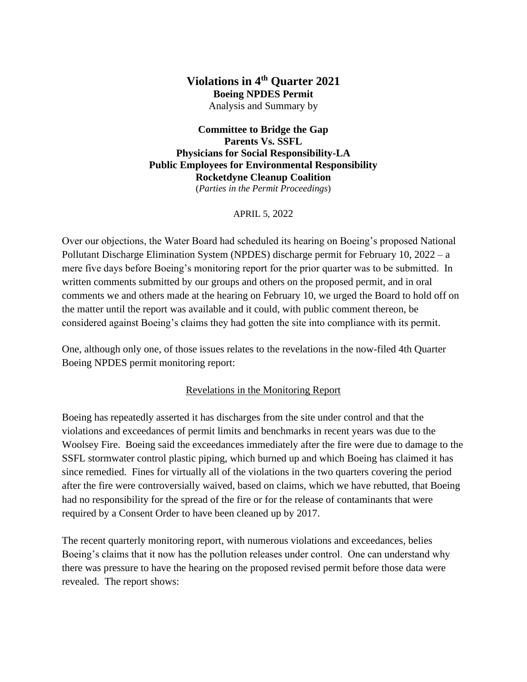## **Violations in 4th Quarter 2021 Boeing NPDES Permit**

Analysis and Summary by

**Committee to Bridge the Gap Parents Vs. SSFL Physicians for Social Responsibility-LA Public Employees for Environmental Responsibility Rocketdyne Cleanup Coalition** (*Parties in the Permit Proceedings*)

APRIL 5, 2022

Over our objections, the Water Board had scheduled its hearing on Boeing's proposed National Pollutant Discharge Elimination System (NPDES) discharge permit for February 10, 2022 – a mere five days before Boeing's monitoring report for the prior quarter was to be submitted. In written comments submitted by our groups and others on the proposed permit, and in oral comments we and others made at the hearing on February 10, we urged the Board to hold off on the matter until the report was available and it could, with public comment thereon, be considered against Boeing's claims they had gotten the site into compliance with its permit.

One, although only one, of those issues relates to the revelations in the now-filed 4th Quarter Boeing NPDES permit monitoring report:

## Revelations in the Monitoring Report

Boeing has repeatedly asserted it has discharges from the site under control and that the violations and exceedances of permit limits and benchmarks in recent years was due to the Woolsey Fire. Boeing said the exceedances immediately after the fire were due to damage to the SSFL stormwater control plastic piping, which burned up and which Boeing has claimed it has since remedied. Fines for virtually all of the violations in the two quarters covering the period after the fire were controversially waived, based on claims, which we have rebutted, that Boeing had no responsibility for the spread of the fire or for the release of contaminants that were required by a Consent Order to have been cleaned up by 2017.

The recent quarterly monitoring report, with numerous violations and exceedances, belies Boeing's claims that it now has the pollution releases under control. One can understand why there was pressure to have the hearing on the proposed revised permit before those data were revealed. The report shows: